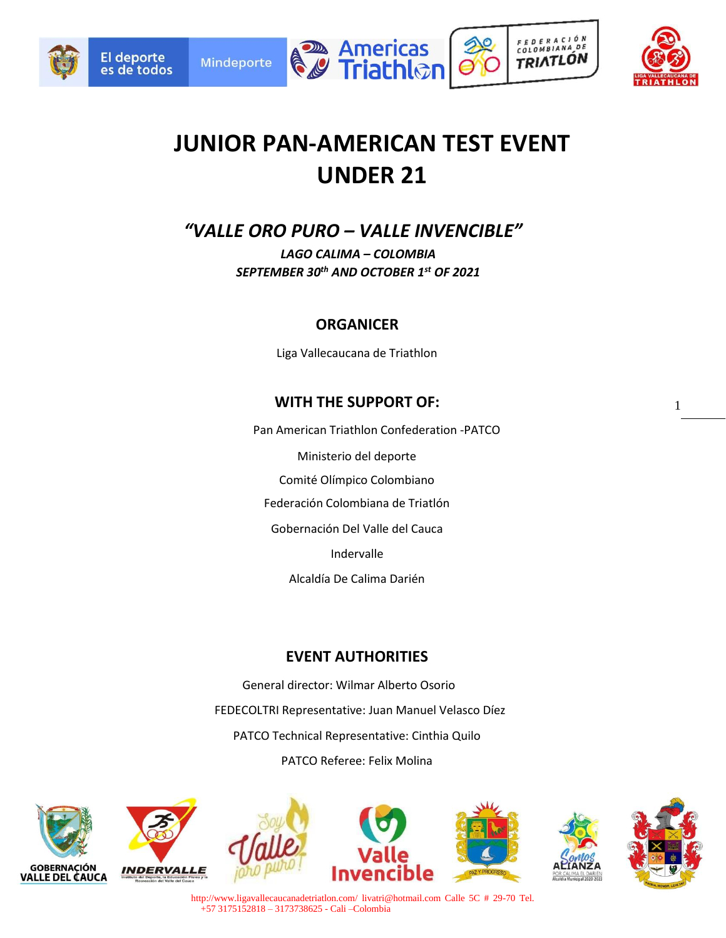

**El deporte** 





FEDERACIÓN

COLOMBIANA DE

**TRIATLÓN** 

1

# **JUNIOR PAN-AMERICAN TEST EVENT UNDER 21**

*"VALLE ORO PURO – VALLE INVENCIBLE"* 

*LAGO CALIMA – COLOMBIA SEPTEMBER 30th AND OCTOBER 1st OF 2021* 

### **ORGANICER**

Liga Vallecaucana de Triathlon

# **WITH THE SUPPORT OF:**

Pan American Triathlon Confederation -PATCO Ministerio del deporte Comité Olímpico Colombiano Federación Colombiana de Triatlón Gobernación Del Valle del Cauca Indervalle Alcaldía De Calima Darién

# **EVENT AUTHORITIES**

General director: Wilmar Alberto Osorio FEDECOLTRI Representative: Juan Manuel Velasco Díez PATCO Technical Representative: Cinthia Quilo PATCO Referee: Felix Molina



http://www.ligavallecaucanadetriatlon.com/ livatri@hotmail.com Calle 5C # 29-70 Tel. +57 3175152818 – 3173738625 - Cali –Colombia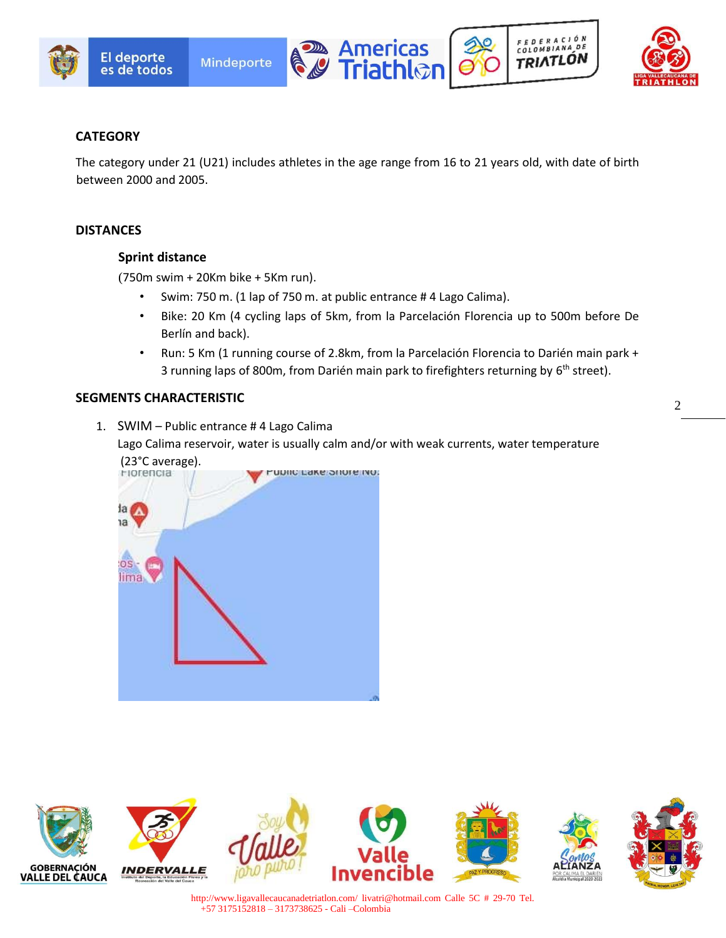







### **CATEGORY**

El deporte

The category under 21 (U21) includes athletes in the age range from 16 to 21 years old, with date of birth between 2000 and 2005.

#### **DISTANCES**

#### **Sprint distance**

(750m swim + 20Km bike + 5Km run).

- Swim: 750 m. (1 lap of 750 m. at public entrance # 4 Lago Calima).
- Bike: 20 Km (4 cycling laps of 5km, from la Parcelación Florencia up to 500m before De Berlín and back).
- Run: 5 Km (1 running course of 2.8km, from la Parcelación Florencia to Darién main park + 3 running laps of 800m, from Darién main park to firefighters returning by 6<sup>th</sup> street).

#### **SEGMENTS CHARACTERISTIC**



Lago Calima reservoir, water is usually calm and/or with weak currents, water temperature



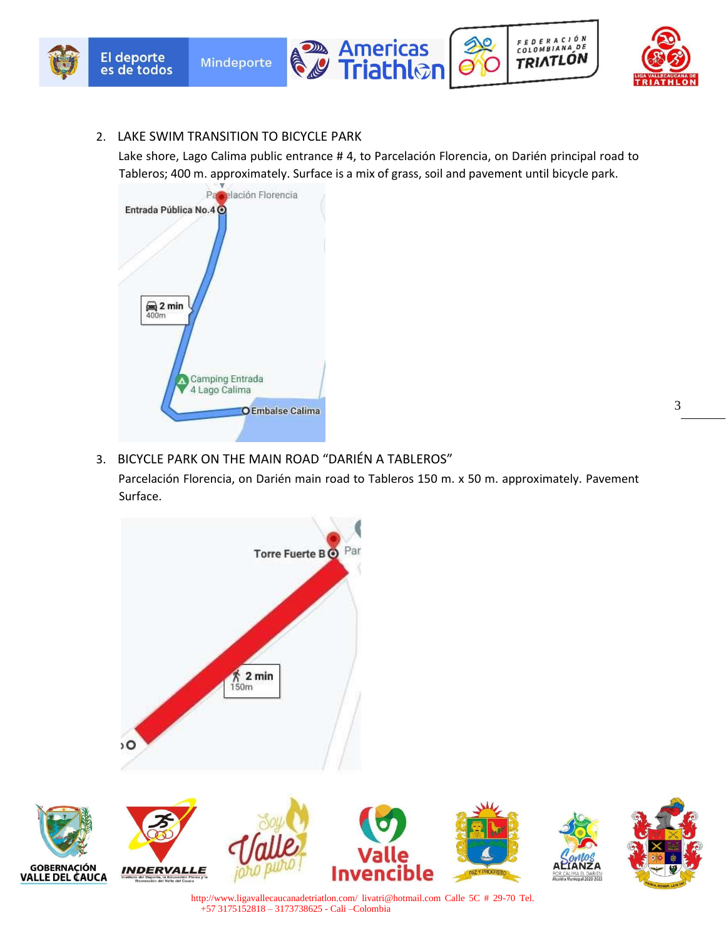

#### 2. LAKE SWIM TRANSITION TO BICYCLE PARK

Lake shore, Lago Calima public entrance # 4, to Parcelación Florencia, on Darién principal road to Tableros; 400 m. approximately. Surface is a mix of grass, soil and pavement until bicycle park.



### 3. BICYCLE PARK ON THE MAIN ROAD "DARIÉN A TABLEROS"

Parcelación Florencia, on Darién main road to Tableros 150 m. x 50 m. approximately. Pavement Surface.

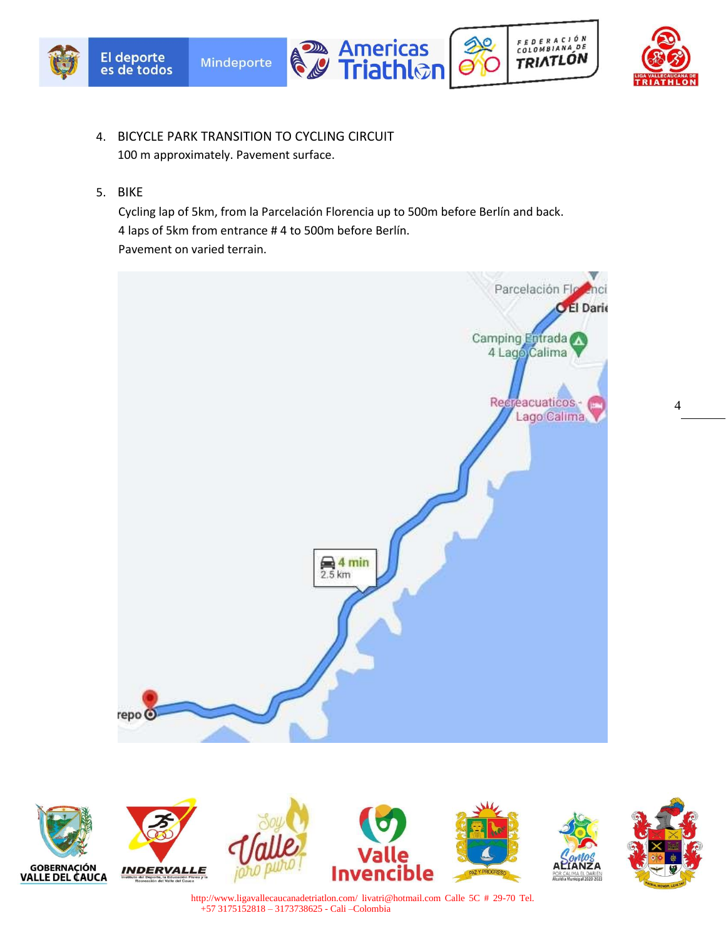





FEDERACIÓN<br>COLOMBIANA DE

TRIATLÓN

- 4. BICYCLE PARK TRANSITION TO CYCLING CIRCUIT 100 m approximately. Pavement surface.
- 5. BIKE

Cycling lap of 5km, from la Parcelación Florencia up to 500m before Berlín and back. 4 laps of 5km from entrance # 4 to 500m before Berlín. Pavement on varied terrain.













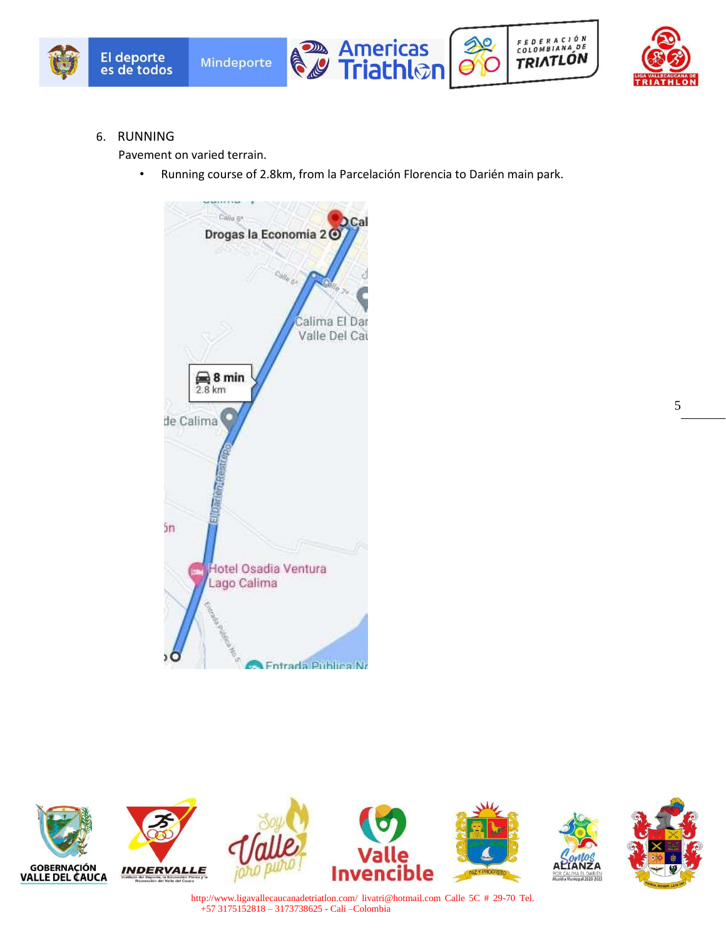







6. RUNNING

Pavement on varied terrain.

• Running course of 2.8km, from la Parcelación Florencia to Darién main park.



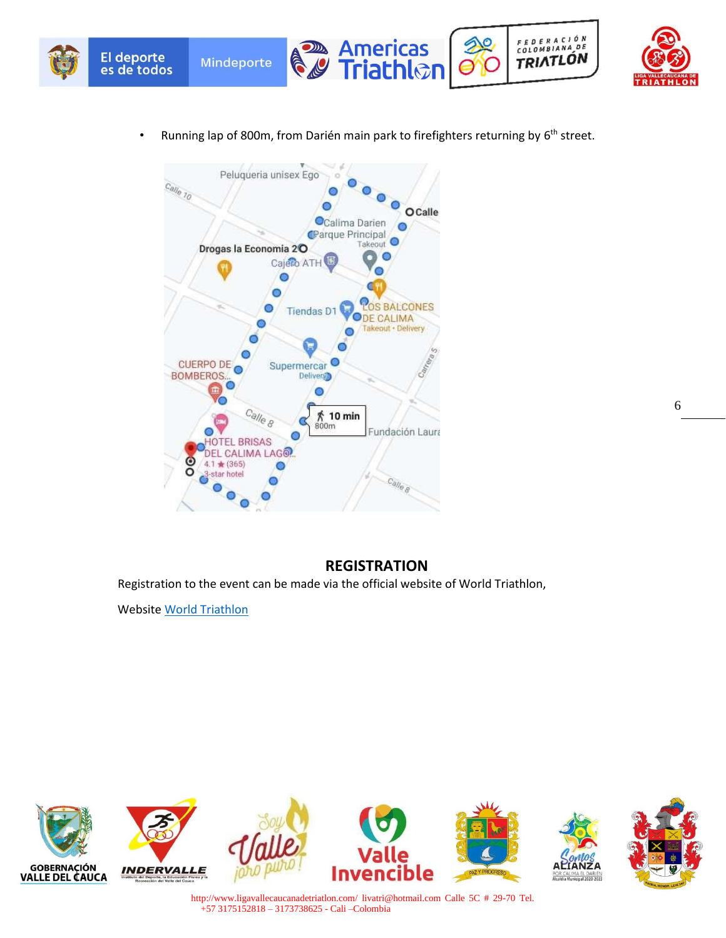





• Running lap of 800m, from Darién main park to firefighters returning by 6<sup>th</sup> street.



C

### **REGISTRATION**

Registration to the event can be made via the official website of World Triathlon,

Website World Triathlon

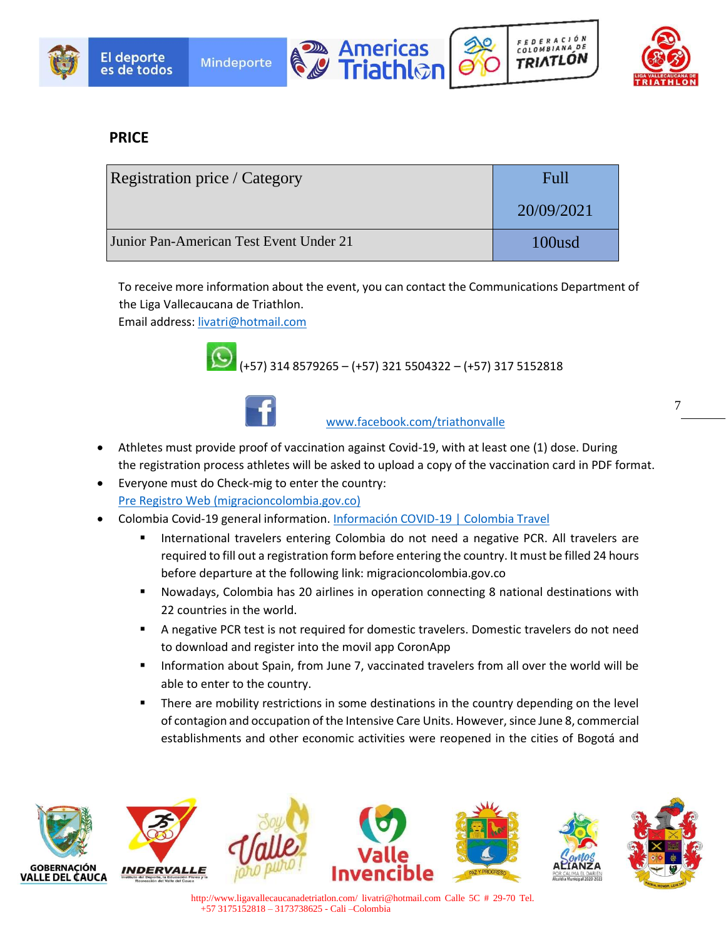





FEDERACIÓN

COLOMBIANA DE

TRIATLÓN

7

## **PRICE**

| <b>Registration price / Category</b>    | Full       |
|-----------------------------------------|------------|
|                                         | 20/09/2021 |
| Junior Pan-American Test Event Under 21 | 100usd     |

To receive more information about the event, you can contact the Communications Department of the Liga Vallecaucana de Triathlon.

Email address: livatri@hotmail.com





www.facebook.com/triathonvalle

- Athletes must provide proof of vaccination against Covid-19, with at least one (1) dose. During the registration process athletes will be asked to upload a copy of the vaccination card in PDF format.
- Everyone must do Check-mig to enter the country: Pre Registro Web (migracioncolombia.gov.co)
- Colombia Covid-19 general information. Información COVID-19 | Colombia Travel
	- International travelers entering Colombia do not need a negative PCR. All travelers are required to fill out a registration form before entering the country. It must be filled 24 hours before departure at the following link: migracioncolombia.gov.co
	- Nowadays, Colombia has 20 airlines in operation connecting 8 national destinations with 22 countries in the world.
	- A negative PCR test is not required for domestic travelers. Domestic travelers do not need to download and register into the movil app CoronApp
	- Information about Spain, from June 7, vaccinated travelers from all over the world will be able to enter to the country.
	- There are mobility restrictions in some destinations in the country depending on the level of contagion and occupation of the Intensive Care Units. However, since June 8, commercial establishments and other economic activities were reopened in the cities of Bogotá and

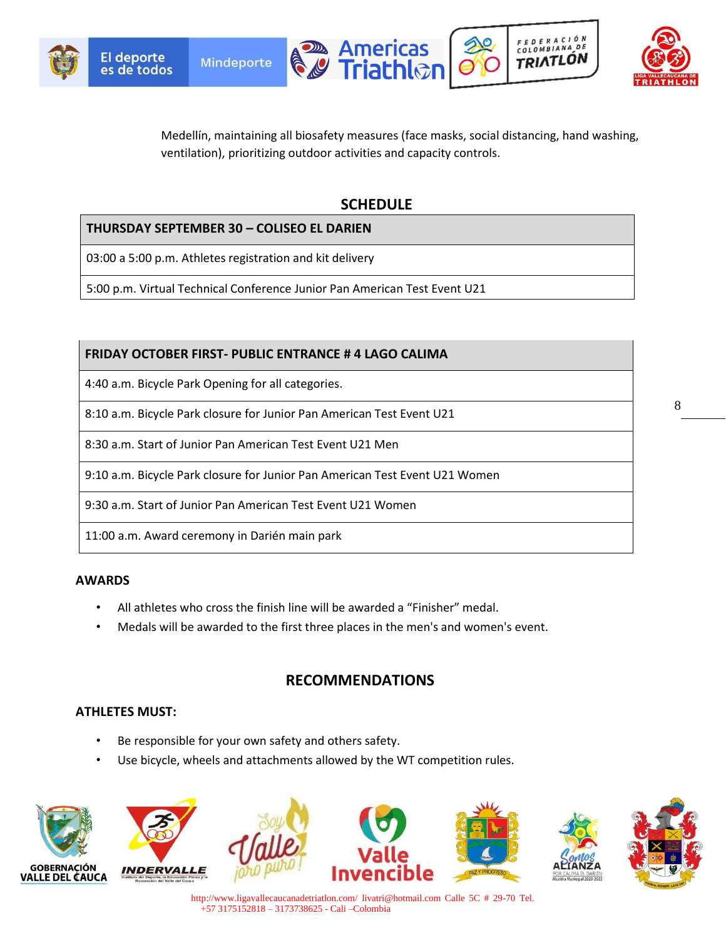





FEDERACIÓN

COLOMBIANA DE

TRIATLÓN

Medellín, maintaining all biosafety measures (face masks, social distancing, hand washing, ventilation), prioritizing outdoor activities and capacity controls.

### **SCHEDULE**

### **THURSDAY SEPTEMBER 30 – COLISEO EL DARIEN**

03:00 a 5:00 p.m. Athletes registration and kit delivery

5:00 p.m. Virtual Technical Conference Junior Pan American Test Event U21

### **FRIDAY OCTOBER FIRST- PUBLIC ENTRANCE # 4 LAGO CALIMA**

4:40 a.m. Bicycle Park Opening for all categories.

8:10 a.m. Bicycle Park closure for Junior Pan American Test Event U21

8:30 a.m. Start of Junior Pan American Test Event U21 Men

9:10 a.m. Bicycle Park closure for Junior Pan American Test Event U21 Women

9:30 a.m. Start of Junior Pan American Test Event U21 Women

11:00 a.m. Award ceremony in Darién main park

#### **AWARDS**

- All athletes who cross the finish line will be awarded a "Finisher" medal.
- Medals will be awarded to the first three places in the men's and women's event.

### **RECOMMENDATIONS**

#### **ATHLETES MUST:**

- Be responsible for your own safety and others safety.
- Use bicycle, wheels and attachments allowed by the WT competition rules.



8

http://www.ligavallecaucanadetriatlon.com/ livatri@hotmail.com Calle 5C # 29-70 Tel. +57 3175152818 – 3173738625 - Cali –Colombia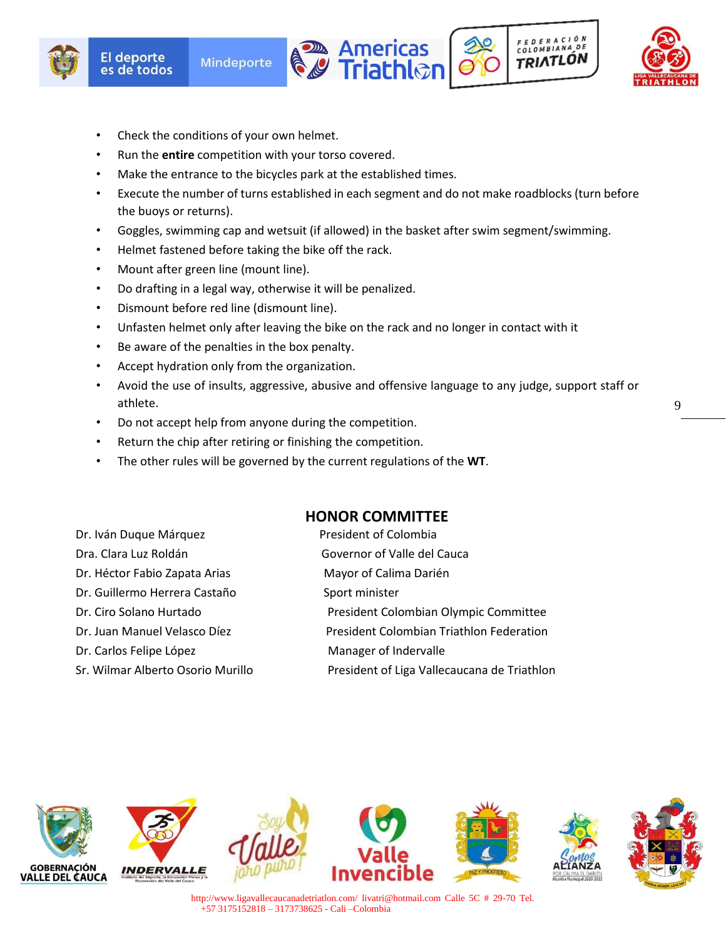





- Check the conditions of your own helmet.
- Run the **entire** competition with your torso covered.
- Make the entrance to the bicycles park at the established times.
- Execute the number of turns established in each segment and do not make roadblocks (turn before the buoys or returns).
- Goggles, swimming cap and wetsuit (if allowed) in the basket after swim segment/swimming.
- Helmet fastened before taking the bike off the rack.
- Mount after green line (mount line).
- Do drafting in a legal way, otherwise it will be penalized.
- Dismount before red line (dismount line).
- Unfasten helmet only after leaving the bike on the rack and no longer in contact with it
- Be aware of the penalties in the box penalty.
- Accept hydration only from the organization.
- Avoid the use of insults, aggressive, abusive and offensive language to any judge, support staff or athlete.

**HONOR COMMITTEE**

- Do not accept help from anyone during the competition.
- Return the chip after retiring or finishing the competition.
- The other rules will be governed by the current regulations of the **WT**.

|                                   | <b>HONOR COMMITTEE</b>                      |
|-----------------------------------|---------------------------------------------|
| Dr. Iván Duque Márquez            | President of Colombia                       |
| Dra. Clara Luz Roldán             | Governor of Valle del Cauca                 |
| Dr. Héctor Fabio Zapata Arias     | Mayor of Calima Darién                      |
| Dr. Guillermo Herrera Castaño     | Sport minister                              |
| Dr. Ciro Solano Hurtado           | President Colombian Olympic Committee       |
| Dr. Juan Manuel Velasco Díez      | President Colombian Triathlon Federation    |
| Dr. Carlos Felipe López           | Manager of Indervalle                       |
| Sr. Wilmar Alberto Osorio Murillo | President of Liga Vallecaucana de Triathlon |
|                                   |                                             |